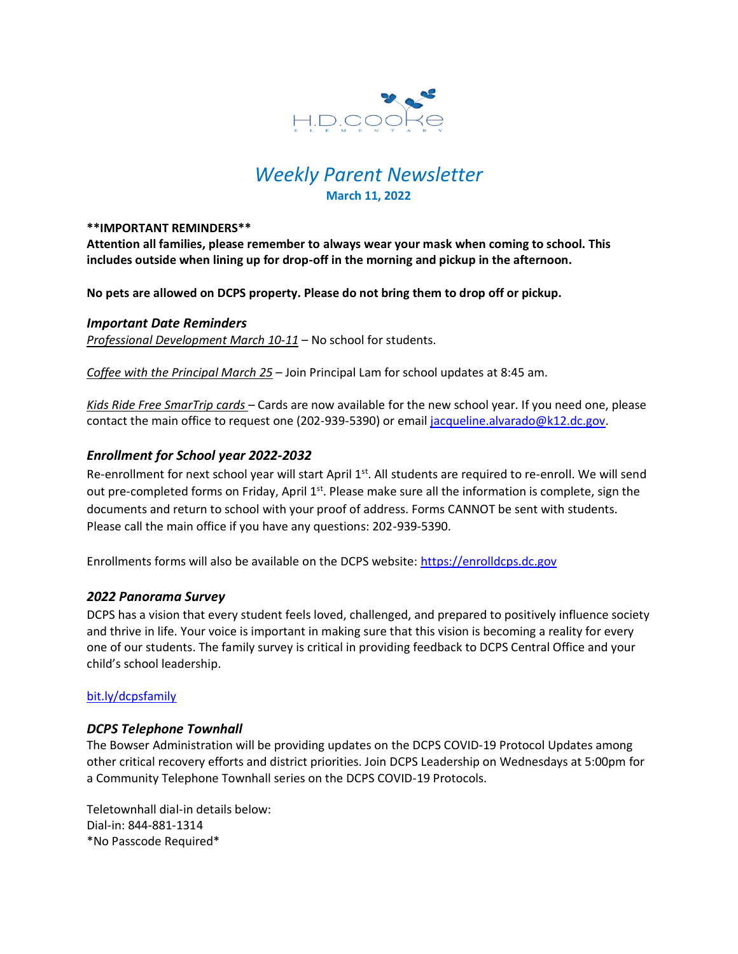

# *Weekly Parent Newsletter* **March 11, 2022**

#### **\*\*IMPORTANT REMINDERS\*\***

**Attention all families, please remember to always wear your mask when coming to school. This includes outside when lining up for drop-off in the morning and pickup in the afternoon.** 

**No pets are allowed on DCPS property. Please do not bring them to drop off or pickup.** 

# *Important Date Reminders*

*Professional Development March 10-11* – No school for students.

*Coffee with the Principal March 25* – Join Principal Lam for school updates at 8:45 am.

*Kids Ride Free SmarTrip cards* – Cards are now available for the new school year. If you need one, please contact the main office to request one (202-939-5390) or email [jacqueline.alvarado@k12.dc.gov.](mailto:jacqueline.alvarado@k12.dc.gov)

# *Enrollment for School year 2022-2032*

Re-enrollment for next school year will start April 1<sup>st</sup>. All students are required to re-enroll. We will send out pre-completed forms on Friday, April 1<sup>st</sup>. Please make sure all the information is complete, sign the documents and return to school with your proof of address. Forms CANNOT be sent with students. Please call the main office if you have any questions: 202-939-5390.

Enrollments forms will also be available on the DCPS website: [https://enrolldcps.dc.gov](https://enrolldcps.dc.gov/)

# *2022 Panorama Survey*

DCPS has a vision that every student feels loved, challenged, and prepared to positively influence society and thrive in life. Your voice is important in making sure that this vision is becoming a reality for every one of our students. The family survey is critical in providing feedback to DCPS Central Office and your child's school leadership.

# <bit.ly/dcpsfamily>

# *DCPS Telephone Townhall*

The Bowser Administration will be providing updates on the DCPS COVID-19 Protocol Updates among other critical recovery efforts and district priorities. Join DCPS Leadership on Wednesdays at 5:00pm for a Community Telephone Townhall series on the DCPS COVID-19 Protocols.

Teletownhall dial-in details below: Dial-in: 844-881-1314 \*No Passcode Required\*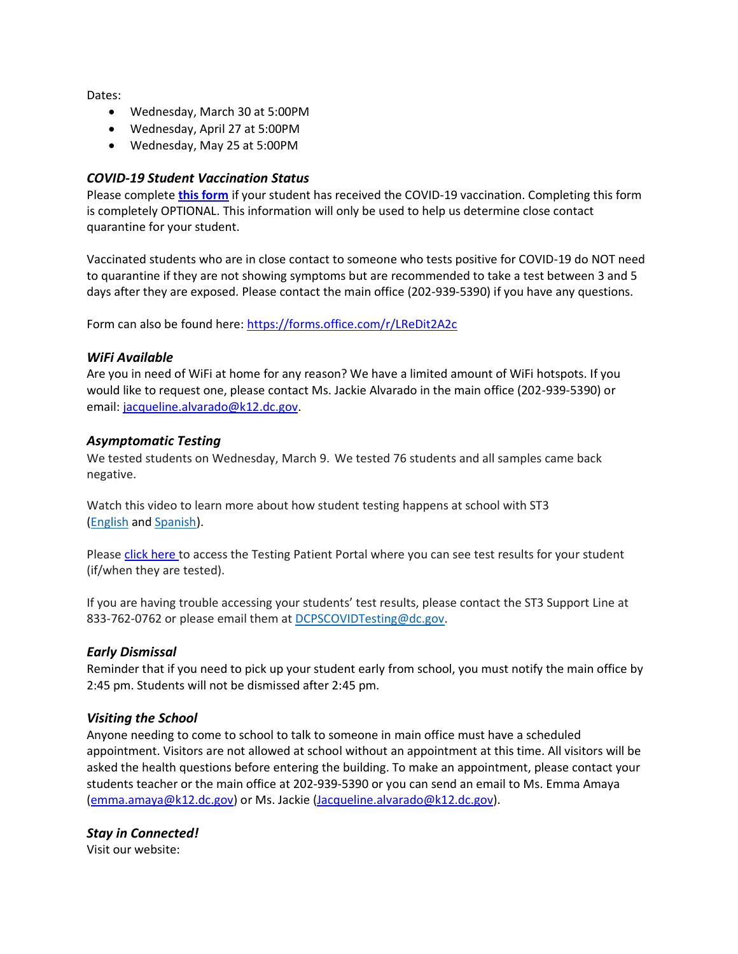Dates:

- Wednesday, March 30 at 5:00PM
- Wednesday, April 27 at 5:00PM
- Wednesday, May 25 at 5:00PM

# *COVID-19 Student Vaccination Status*

Please complete **[this form](https://forms.office.com/r/LReDit2A2c)** if your student has received the COVID-19 vaccination. Completing this form is completely OPTIONAL. This information will only be used to help us determine close contact quarantine for your student.

Vaccinated students who are in close contact to someone who tests positive for COVID-19 do NOT need to quarantine if they are not showing symptoms but are recommended to take a test between 3 and 5 days after they are exposed. Please contact the main office (202-939-5390) if you have any questions.

Form can also be found here:<https://forms.office.com/r/LReDit2A2c>

# *WiFi Available*

Are you in need of WiFi at home for any reason? We have a limited amount of WiFi hotspots. If you would like to request one, please contact Ms. Jackie Alvarado in the main office (202-939-5390) or email: [jacqueline.alvarado@k12.dc.gov.](mailto:jacqueline.alvarado@k12.dc.gov)

# *Asymptomatic Testing*

We tested students on Wednesday, March 9. We tested 76 students and all samples came back negative.

Watch this video to learn more about how student testing happens at school with ST3 [\(English](https://urldefense.proofpoint.com/v2/url?u=https-3A__rise.articulate.com_share_-2Dq6MdIeo2V42boWuOGTu8i4-2DcT9E-5Fpjy-23_lessons_QicMYr-5FNcrCg54C5EtRyuC-2DwHJjQQVR2&d=DwMFAg&c=euGZstcaTDllvimEN8b7jXrwqOf-v5A_CdpgnVfiiMM&r=r7MsakikdNxOh-N_Ssj9mdJUMRjWvhYw18Eqx42UE40&m=-vbhK74dxdF3UGFM3KXX_Mk-PGWZWrPZHiFLh_rcYM0&s=470EC6i3UbApDRfaxDIuMzBPFqhzK2pNSc-krTjYzOw&e=) and [Spanish\)](https://urldefense.proofpoint.com/v2/url?u=https-3A__youtu.be_PRaXjkFlGGQ&d=DwMFAg&c=euGZstcaTDllvimEN8b7jXrwqOf-v5A_CdpgnVfiiMM&r=r7MsakikdNxOh-N_Ssj9mdJUMRjWvhYw18Eqx42UE40&m=-vbhK74dxdF3UGFM3KXX_Mk-PGWZWrPZHiFLh_rcYM0&s=yCXksETv2O2ZulcBl9cazNcOvmB9Inp-drZAlbuFkaw&e=).

Please click [here](https://shieldt3k12portal.pointnclick.com/login_login.aspx) to access the Testing Patient Portal where you can see test results for your student (if/when they are tested).

If you are having trouble accessing your students' test results, please contact the ST3 Support Line at 833-762-0762 or please email them at [DCPSCOVIDTesting@dc.gov.](mailto:DCPSCOVIDTesting@dc.gov)

# *Early Dismissal*

Reminder that if you need to pick up your student early from school, you must notify the main office by 2:45 pm. Students will not be dismissed after 2:45 pm.

# *Visiting the School*

Anyone needing to come to school to talk to someone in main office must have a scheduled appointment. Visitors are not allowed at school without an appointment at this time. All visitors will be asked the health questions before entering the building. To make an appointment, please contact your students teacher or the main office at 202-939-5390 or you can send an email to Ms. Emma Amaya [\(emma.amaya@k12.dc.gov\)](mailto:emma.amaya@k12.dc.gov) or Ms. Jackie [\(Jacqueline.alvarado@k12.dc.gov\)](mailto:Jacqueline.alvarado@k12.dc.gov).

# *Stay in Connected!*

Visit our website: